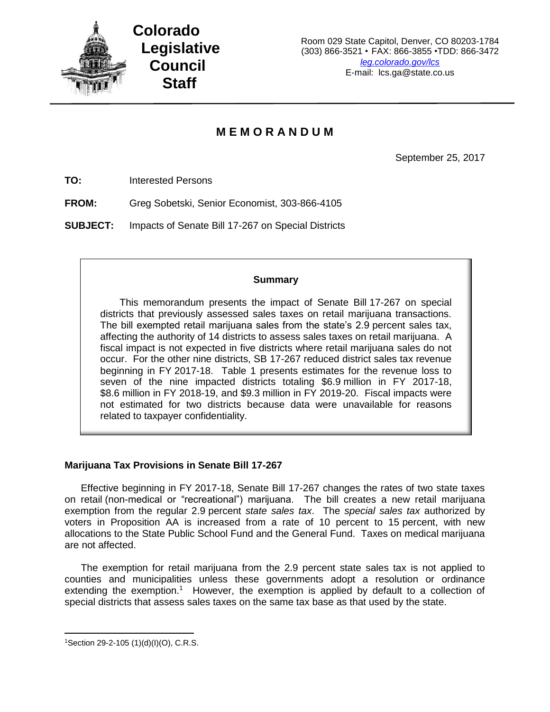

# **M E M O R A N D U M**

September 25, 2017

**TO:** Interested Persons

**FROM:** Greg Sobetski, Senior Economist, 303-866-4105

**SUBJECT:** Impacts of Senate Bill 17-267 on Special Districts

## **Summary**

This memorandum presents the impact of Senate Bill 17-267 on special districts that previously assessed sales taxes on retail marijuana transactions. The bill exempted retail marijuana sales from the state's 2.9 percent sales tax, affecting the authority of 14 districts to assess sales taxes on retail marijuana. A fiscal impact is not expected in five districts where retail marijuana sales do not occur. For the other nine districts, SB 17-267 reduced district sales tax revenue beginning in FY 2017-18. Table 1 presents estimates for the revenue loss to seven of the nine impacted districts totaling \$6.9 million in FY 2017-18, \$8.6 million in FY 2018-19, and \$9.3 million in FY 2019-20. Fiscal impacts were not estimated for two districts because data were unavailable for reasons related to taxpayer confidentiality.

## **Marijuana Tax Provisions in Senate Bill 17-267**

Effective beginning in FY 2017-18, Senate Bill 17-267 changes the rates of two state taxes on retail (non-medical or "recreational") marijuana. The bill creates a new retail marijuana exemption from the regular 2.9 percent *state sales tax*. The *special sales tax* authorized by voters in Proposition AA is increased from a rate of 10 percent to 15 percent, with new allocations to the State Public School Fund and the General Fund. Taxes on medical marijuana are not affected.

The exemption for retail marijuana from the 2.9 percent state sales tax is not applied to counties and municipalities unless these governments adopt a resolution or ordinance extending the exemption.<sup>1</sup> However, the exemption is applied by default to a collection of special districts that assess sales taxes on the same tax base as that used by the state.

 $\overline{a}$ 

<sup>1</sup>Section 29-2-105 (1)(d)(I)(O), C.R.S.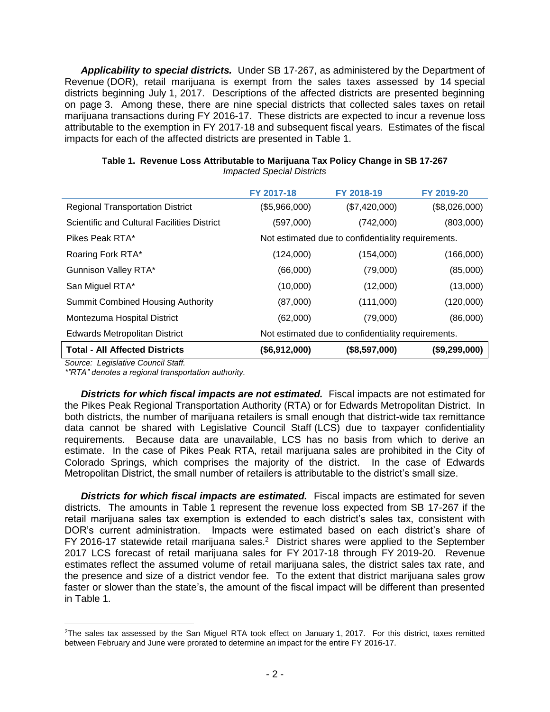*Applicability to special districts.* Under SB 17-267, as administered by the Department of Revenue (DOR), retail marijuana is exempt from the sales taxes assessed by 14 special districts beginning July 1, 2017. Descriptions of the affected districts are presented beginning on page 3. Among these, there are nine special districts that collected sales taxes on retail marijuana transactions during FY 2016-17. These districts are expected to incur a revenue loss attributable to the exemption in FY 2017-18 and subsequent fiscal years. Estimates of the fiscal impacts for each of the affected districts are presented in Table 1.

|                                                    | FY 2017-18                                         | FY 2018-19    | FY 2019-20    |
|----------------------------------------------------|----------------------------------------------------|---------------|---------------|
| <b>Regional Transportation District</b>            | (\$5,966,000)                                      | (\$7,420,000) | (\$8,026,000) |
| <b>Scientific and Cultural Facilities District</b> | (597,000)                                          | (742,000)     | (803,000)     |
| Pikes Peak RTA*                                    | Not estimated due to confidentiality requirements. |               |               |
| Roaring Fork RTA*                                  | (124,000)                                          | (154,000)     | (166,000)     |
| Gunnison Valley RTA*                               | (66,000)                                           | (79,000)      | (85,000)      |
| San Miguel RTA*                                    | (10,000)                                           | (12,000)      | (13,000)      |
| <b>Summit Combined Housing Authority</b>           | (87,000)                                           | (111,000)     | (120,000)     |
| Montezuma Hospital District                        | (62,000)                                           | (79,000)      | (86,000)      |
| Edwards Metropolitan District                      | Not estimated due to confidentiality requirements. |               |               |
| <b>Total - All Affected Districts</b>              | (\$6,912,000)                                      | (\$8,597,000) | (\$9,299,000) |

### **Table 1. Revenue Loss Attributable to Marijuana Tax Policy Change in SB 17-267** *Impacted Special Districts*

*Source: Legislative Council Staff.*

 $\overline{\phantom{a}}$ 

*\*"RTA" denotes a regional transportation authority.*

*Districts for which fiscal impacts are not estimated.* Fiscal impacts are not estimated for the Pikes Peak Regional Transportation Authority (RTA) or for Edwards Metropolitan District. In both districts, the number of marijuana retailers is small enough that district-wide tax remittance data cannot be shared with Legislative Council Staff (LCS) due to taxpayer confidentiality requirements. Because data are unavailable, LCS has no basis from which to derive an estimate. In the case of Pikes Peak RTA, retail marijuana sales are prohibited in the City of Colorado Springs, which comprises the majority of the district. In the case of Edwards Metropolitan District, the small number of retailers is attributable to the district's small size.

*Districts for which fiscal impacts are estimated.* Fiscal impacts are estimated for seven districts. The amounts in Table 1 represent the revenue loss expected from SB 17-267 if the retail marijuana sales tax exemption is extended to each district's sales tax, consistent with DOR's current administration. Impacts were estimated based on each district's share of FY 2016-17 statewide retail marijuana sales.<sup>2</sup> District shares were applied to the September 2017 LCS forecast of retail marijuana sales for FY 2017-18 through FY 2019-20. Revenue estimates reflect the assumed volume of retail marijuana sales, the district sales tax rate, and the presence and size of a district vendor fee. To the extent that district marijuana sales grow faster or slower than the state's, the amount of the fiscal impact will be different than presented in Table 1.

<sup>&</sup>lt;sup>2</sup>The sales tax assessed by the San Miguel RTA took effect on January 1, 2017. For this district, taxes remitted between February and June were prorated to determine an impact for the entire FY 2016-17.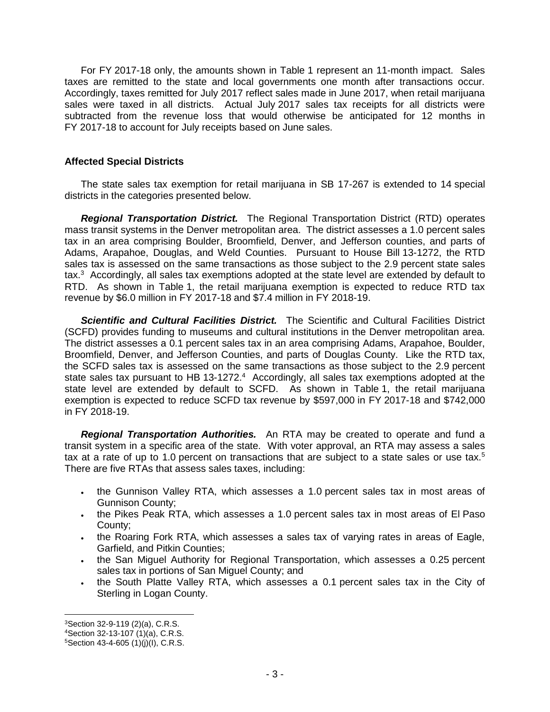For FY 2017-18 only, the amounts shown in Table 1 represent an 11-month impact. Sales taxes are remitted to the state and local governments one month after transactions occur. Accordingly, taxes remitted for July 2017 reflect sales made in June 2017, when retail marijuana sales were taxed in all districts. Actual July 2017 sales tax receipts for all districts were subtracted from the revenue loss that would otherwise be anticipated for 12 months in FY 2017-18 to account for July receipts based on June sales.

## **Affected Special Districts**

The state sales tax exemption for retail marijuana in SB 17-267 is extended to 14 special districts in the categories presented below.

*Regional Transportation District.* The Regional Transportation District (RTD) operates mass transit systems in the Denver metropolitan area. The district assesses a 1.0 percent sales tax in an area comprising Boulder, Broomfield, Denver, and Jefferson counties, and parts of Adams, Arapahoe, Douglas, and Weld Counties. Pursuant to House Bill 13-1272, the RTD sales tax is assessed on the same transactions as those subject to the 2.9 percent state sales tax.<sup>3</sup> Accordingly, all sales tax exemptions adopted at the state level are extended by default to RTD. As shown in Table 1, the retail marijuana exemption is expected to reduce RTD tax revenue by \$6.0 million in FY 2017-18 and \$7.4 million in FY 2018-19.

*Scientific and Cultural Facilities District.* The Scientific and Cultural Facilities District (SCFD) provides funding to museums and cultural institutions in the Denver metropolitan area. The district assesses a 0.1 percent sales tax in an area comprising Adams, Arapahoe, Boulder, Broomfield, Denver, and Jefferson Counties, and parts of Douglas County. Like the RTD tax, the SCFD sales tax is assessed on the same transactions as those subject to the 2.9 percent state sales tax pursuant to HB 13-1272. $4$  Accordingly, all sales tax exemptions adopted at the state level are extended by default to SCFD. As shown in Table 1, the retail marijuana exemption is expected to reduce SCFD tax revenue by \$597,000 in FY 2017-18 and \$742,000 in FY 2018-19.

*Regional Transportation Authorities.* An RTA may be created to operate and fund a transit system in a specific area of the state. With voter approval, an RTA may assess a sales tax at a rate of up to 1.0 percent on transactions that are subject to a state sales or use tax.<sup>5</sup> There are five RTAs that assess sales taxes, including:

- the Gunnison Valley RTA, which assesses a 1.0 percent sales tax in most areas of Gunnison County;
- . the Pikes Peak RTA, which assesses a 1.0 percent sales tax in most areas of El Paso County;
- the Roaring Fork RTA, which assesses a sales tax of varying rates in areas of Eagle, Garfield, and Pitkin Counties;
- . the San Miguel Authority for Regional Transportation, which assesses a 0.25 percent sales tax in portions of San Miguel County; and
- the South Platte Valley RTA, which assesses a 0.1 percent sales tax in the City of Sterling in Logan County.

 $\overline{\phantom{a}}$ <sup>3</sup>Section 32-9-119 (2)(a), C.R.S.

<sup>4</sup>Section 32-13-107 (1)(a), C.R.S.

 $5$ Section 43-4-605 (1)(j)(l), C.R.S.